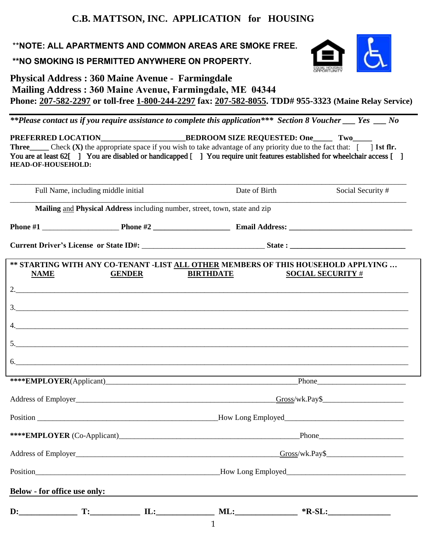## **C.B. MATTSON, INC. APPLICATION for HOUSING**

\*\***NOTE: ALL APARTMENTS AND COMMON AREAS ARE SMOKE FREE.** 

**\*\*NO SMOKING IS PERMITTED ANYWHERE ON PROPERTY.**



**Physical Address : 360 Maine Avenue - Farmingdale Mailing Address : 360 Maine Avenue, Farmingdale, ME 04344 Phone: 207-582-2297 or toll-free 1-800-244-2297 fax: 207-582-8055. TDD# 955-3323 (Maine Relay Service)** 

*\*\*Please contact us if you require assistance to complete this application\*\*\* Section 8 Voucher \_\_\_ Yes \_\_\_ No* 

PREFERRED LOCATION\_\_\_\_\_\_\_\_\_\_\_\_\_\_\_\_\_\_\_\_\_\_\_\_\_\_\_\_\_\_\_\_BEDROOM SIZE REQUESTED: One\_\_\_\_\_ Two\_\_ **Three** Check **(X)** the appropriate space if you wish to take advantage of any priority due to the fact that:  $\begin{bmatrix} 1 \end{bmatrix}$  **1st flr.** You are at least 62<sup>[1]</sup> You are disabled or handicapped [1] You require unit features established for wheelchair access [1] **HEAD-OF-HOUSEHOLD:**

\_\_\_\_\_\_\_\_\_\_\_\_\_\_\_\_\_\_\_\_\_\_\_\_\_\_\_\_\_\_\_\_\_\_\_\_\_\_\_\_\_\_\_\_\_\_\_\_\_\_\_\_\_\_\_\_\_\_\_\_\_\_\_\_\_\_\_\_\_\_\_\_\_\_\_\_\_\_\_\_\_\_\_\_\_\_\_\_\_\_\_\_\_\_\_\_\_\_\_\_\_\_\_ Full Name, including middle initial Date of Birth Social Security # \_\_\_\_\_\_\_\_\_\_\_\_\_\_\_\_\_\_\_\_\_\_\_\_\_\_\_\_\_\_\_\_\_\_\_\_\_\_\_\_\_\_\_\_\_\_\_\_\_\_\_\_\_\_\_\_\_\_\_\_\_\_\_\_\_\_\_\_\_\_\_\_\_\_\_\_\_\_\_\_\_\_\_\_\_\_\_\_\_\_\_\_\_\_\_\_\_\_\_\_\_\_\_ **Mailing** and **Physical Address** including number, street, town, state and zip **Phone #1** \_\_\_\_\_\_\_\_\_\_\_\_\_\_\_\_\_\_\_\_ **Phone #2 \_\_\_\_\_\_\_\_\_\_\_\_\_\_\_\_\_\_\_\_ Email Address: \_\_\_\_\_\_\_\_\_\_\_\_\_\_\_\_\_\_\_\_\_\_\_\_\_\_\_\_\_\_\_\_ Current Driver's License or State ID#:** \_\_\_\_\_\_\_\_\_\_\_\_\_\_\_\_\_\_\_\_\_\_\_\_\_\_\_\_\_\_\_\_ **State : \_\_\_\_\_\_\_\_\_\_\_\_\_\_\_\_\_\_\_\_\_\_\_\_\_\_\_\_\_\_ \*\* STARTING WITH ANY CO-TENANT -LIST ALL OTHER MEMBERS OF THIS HOUSEHOLD APPLYING … NAME GENDER BIRTHDATE SOCIAL SECURITY** #  $2.$  $3.$ 4.\_\_\_\_\_\_\_\_\_\_\_\_\_\_\_\_\_\_\_\_\_\_\_\_\_\_\_\_\_\_\_\_\_\_\_\_\_\_\_\_\_\_\_\_\_\_\_\_\_\_\_\_\_\_\_\_\_\_\_\_\_\_\_\_\_\_\_\_\_\_\_\_\_\_\_\_\_\_\_\_\_\_\_\_\_\_\_\_\_\_\_\_\_\_\_\_\_\_\_\_\_\_  $5.$  $6.$ \*\*\*\***EMPLOYER**(Applicant) Address of Employer\_\_\_\_\_\_\_\_\_\_\_\_\_\_\_\_\_\_\_\_\_\_\_\_\_\_\_\_\_\_\_\_\_\_\_\_\_\_\_\_\_\_\_\_\_\_\_\_\_\_\_\_Gross/wk.Pay\$\_\_\_\_\_\_\_\_\_\_\_\_\_\_\_\_\_\_\_\_\_ Position **Provident Contact Contact Contact Contact Contact Contact Contact Contact Contact Contact Contact Contact Contact Contact Contact Contact Contact Contact Contact Contact Contact Contact Contact Contact Contact Co** \*\*\*\***EMPLOYER** (Co-Applicant) Address of Employer Gross/wk.Pay\$ Position The Position How Long Employed **Below - for office use only: D:\_\_\_\_\_\_\_\_\_\_\_\_\_\_ T:\_\_\_\_\_\_\_\_\_\_\_\_ IL:\_\_\_\_\_\_\_\_\_\_\_\_\_\_ ML:\_\_\_\_\_\_\_\_\_\_\_\_\_\_\_ \*R-SL:\_\_\_\_\_\_\_\_\_\_\_\_\_\_\_**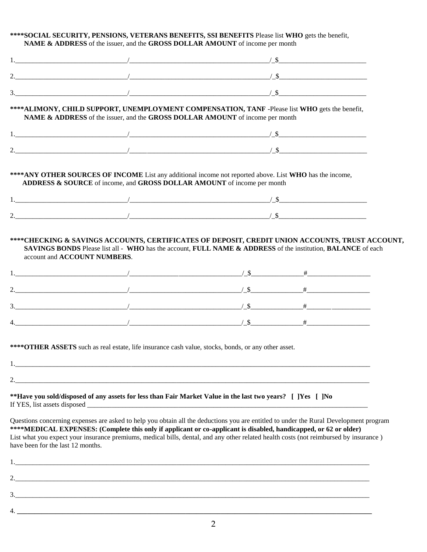#### **\*\*\*\*SOCIAL SECURITY, PENSIONS, VETERANS BENEFITS, SSI BENEFITS** Please list **WHO** gets the benefit, **NAME & ADDRESS** of the issuer, and the **GROSS DOLLAR AMOUNT** of income per month

|                                   |    | **** ALIMONY, CHILD SUPPORT, UNEMPLOYMENT COMPENSATION, TANF -Please list WHO gets the benefit,<br>NAME & ADDRESS of the issuer, and the GROSS DOLLAR AMOUNT of income per month                                                                                                                                                                                                                   |  |
|-----------------------------------|----|----------------------------------------------------------------------------------------------------------------------------------------------------------------------------------------------------------------------------------------------------------------------------------------------------------------------------------------------------------------------------------------------------|--|
|                                   |    |                                                                                                                                                                                                                                                                                                                                                                                                    |  |
|                                   |    |                                                                                                                                                                                                                                                                                                                                                                                                    |  |
|                                   |    | **** ANY OTHER SOURCES OF INCOME List any additional income not reported above. List WHO has the income,<br>ADDRESS & SOURCE of income, and GROSS DOLLAR AMOUNT of income per month                                                                                                                                                                                                                |  |
|                                   |    | 1. $\frac{1}{2}$ $\frac{1}{2}$ $\frac{1}{2}$ $\frac{1}{2}$ $\frac{1}{2}$ $\frac{1}{2}$ $\frac{1}{2}$ $\frac{1}{2}$ $\frac{1}{2}$ $\frac{1}{2}$ $\frac{1}{2}$ $\frac{1}{2}$ $\frac{1}{2}$ $\frac{1}{2}$ $\frac{1}{2}$ $\frac{1}{2}$ $\frac{1}{2}$ $\frac{1}{2}$ $\frac{1}{2}$ $\frac{1}{2}$ $\frac{1}{2}$ $\frac{1}{2}$                                                                             |  |
|                                   |    |                                                                                                                                                                                                                                                                                                                                                                                                    |  |
|                                   |    |                                                                                                                                                                                                                                                                                                                                                                                                    |  |
|                                   |    |                                                                                                                                                                                                                                                                                                                                                                                                    |  |
|                                   |    | 2. $+$                                                                                                                                                                                                                                                                                                                                                                                             |  |
|                                   |    | 3. $+$                                                                                                                                                                                                                                                                                                                                                                                             |  |
|                                   |    |                                                                                                                                                                                                                                                                                                                                                                                                    |  |
|                                   |    |                                                                                                                                                                                                                                                                                                                                                                                                    |  |
| 1.                                | 2. | **** OTHER ASSETS such as real estate, life insurance cash value, stocks, bonds, or any other asset.                                                                                                                                                                                                                                                                                               |  |
|                                   |    | **Have you sold/disposed of any assets for less than Fair Market Value in the last two years? [ ] [Yes [ ] No                                                                                                                                                                                                                                                                                      |  |
| have been for the last 12 months. |    | Questions concerning expenses are asked to help you obtain all the deductions you are entitled to under the Rural Development program<br>****MEDICAL EXPENSES: (Complete this only if applicant or co-applicant is disabled, handicapped, or 62 or older)<br>List what you expect your insurance premiums, medical bills, dental, and any other related health costs (not reimbursed by insurance) |  |
|                                   |    |                                                                                                                                                                                                                                                                                                                                                                                                    |  |
|                                   |    |                                                                                                                                                                                                                                                                                                                                                                                                    |  |
|                                   |    |                                                                                                                                                                                                                                                                                                                                                                                                    |  |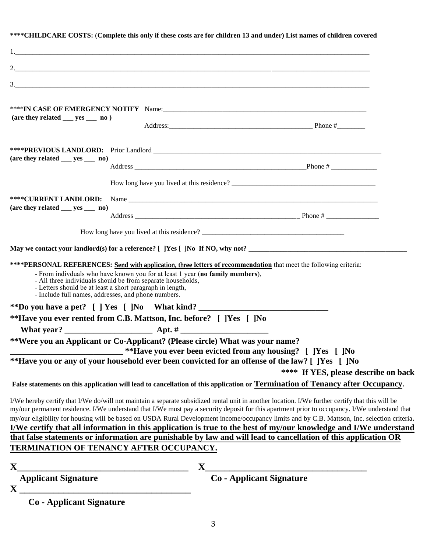|                                                                     |                                                                                                                          | **** CHILDCARE COSTS: (Complete this only if these costs are for children 13 and under) List names of children covered                                                                                                                                                                                                                                                                                                                                                                                                                                                 |                                      |
|---------------------------------------------------------------------|--------------------------------------------------------------------------------------------------------------------------|------------------------------------------------------------------------------------------------------------------------------------------------------------------------------------------------------------------------------------------------------------------------------------------------------------------------------------------------------------------------------------------------------------------------------------------------------------------------------------------------------------------------------------------------------------------------|--------------------------------------|
|                                                                     |                                                                                                                          |                                                                                                                                                                                                                                                                                                                                                                                                                                                                                                                                                                        |                                      |
|                                                                     |                                                                                                                          |                                                                                                                                                                                                                                                                                                                                                                                                                                                                                                                                                                        |                                      |
|                                                                     |                                                                                                                          |                                                                                                                                                                                                                                                                                                                                                                                                                                                                                                                                                                        |                                      |
|                                                                     |                                                                                                                          | 3.                                                                                                                                                                                                                                                                                                                                                                                                                                                                                                                                                                     |                                      |
| $(\text{are they related } \_\text{yes } \_\text{non})$             |                                                                                                                          | Address: Phone #                                                                                                                                                                                                                                                                                                                                                                                                                                                                                                                                                       |                                      |
|                                                                     |                                                                                                                          |                                                                                                                                                                                                                                                                                                                                                                                                                                                                                                                                                                        |                                      |
|                                                                     |                                                                                                                          |                                                                                                                                                                                                                                                                                                                                                                                                                                                                                                                                                                        |                                      |
| $(\text{are they related } \_\text{yes } \_\text{non})$             |                                                                                                                          |                                                                                                                                                                                                                                                                                                                                                                                                                                                                                                                                                                        |                                      |
|                                                                     |                                                                                                                          | How long have you lived at this residence?                                                                                                                                                                                                                                                                                                                                                                                                                                                                                                                             |                                      |
|                                                                     |                                                                                                                          |                                                                                                                                                                                                                                                                                                                                                                                                                                                                                                                                                                        |                                      |
| $(\text{are they related } \_\text{yes } \_\text{no})$              |                                                                                                                          |                                                                                                                                                                                                                                                                                                                                                                                                                                                                                                                                                                        |                                      |
|                                                                     |                                                                                                                          |                                                                                                                                                                                                                                                                                                                                                                                                                                                                                                                                                                        |                                      |
|                                                                     |                                                                                                                          |                                                                                                                                                                                                                                                                                                                                                                                                                                                                                                                                                                        |                                      |
| - Include full names, addresses, and phone numbers.                 | - All three individuals should be from separate households,<br>- Letters should be at least a short paragraph in length, | ****PERSONAL REFERENCES: Send with application, three letters of recommendation that meet the following criteria:<br>- From indivduals who have known you for at least 1 year (no family members),                                                                                                                                                                                                                                                                                                                                                                     |                                      |
|                                                                     |                                                                                                                          |                                                                                                                                                                                                                                                                                                                                                                                                                                                                                                                                                                        |                                      |
| **Have you ever rented from C.B. Mattson, Inc. before? [ ]Yes [ ]No |                                                                                                                          |                                                                                                                                                                                                                                                                                                                                                                                                                                                                                                                                                                        |                                      |
|                                                                     |                                                                                                                          |                                                                                                                                                                                                                                                                                                                                                                                                                                                                                                                                                                        |                                      |
|                                                                     |                                                                                                                          | **Were you an Applicant or Co-Applicant? (Please circle) What was your name?<br>**Have you ever been evicted from any housing? [ ]Yes [ ]No                                                                                                                                                                                                                                                                                                                                                                                                                            |                                      |
|                                                                     |                                                                                                                          | **Have you or any of your household ever been convicted for an offense of the law? [ ]Yes [ ]No                                                                                                                                                                                                                                                                                                                                                                                                                                                                        | **** If YES, please describe on back |
|                                                                     |                                                                                                                          | False statements on this application will lead to cancellation of this application or Termination of Tenancy after Occupancy.                                                                                                                                                                                                                                                                                                                                                                                                                                          |                                      |
|                                                                     |                                                                                                                          | I/We hereby certify that I/We do/will not maintain a separate subsidized rental unit in another location. I/We further certify that this will be<br>my/our permanent residence. I/We understand that I/We must pay a security deposit for this apartment prior to occupancy. I/We understand that<br>my/our eligibility for housing will be based on USDA Rural Development income/occupancy limits and by C.B. Mattson, Inc. selection criteria.<br>I/We certify that all information in this application is true to the best of my/our knowledge and I/We understand |                                      |
|                                                                     |                                                                                                                          | that false statements or information are punishable by law and will lead to cancellation of this application OR                                                                                                                                                                                                                                                                                                                                                                                                                                                        |                                      |
| TERMINATION OF TENANCY AFTER OCCUPANCY.                             |                                                                                                                          |                                                                                                                                                                                                                                                                                                                                                                                                                                                                                                                                                                        |                                      |
| $\mathbf{X}$                                                        |                                                                                                                          |                                                                                                                                                                                                                                                                                                                                                                                                                                                                                                                                                                        |                                      |
| Applicant Signature                                                 |                                                                                                                          | X<br>Co - Applicant Signature                                                                                                                                                                                                                                                                                                                                                                                                                                                                                                                                          |                                      |
| $\mathbf{X}$                                                        |                                                                                                                          |                                                                                                                                                                                                                                                                                                                                                                                                                                                                                                                                                                        |                                      |
| <b>Co</b> - Applicant Signature                                     |                                                                                                                          |                                                                                                                                                                                                                                                                                                                                                                                                                                                                                                                                                                        |                                      |

### 3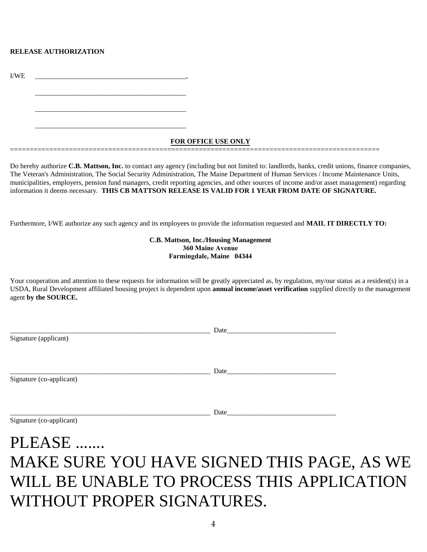#### **RELEASE AUTHORIZATION**

I/WE \_\_\_\_\_\_\_\_\_\_\_\_\_\_\_\_\_\_\_\_\_\_\_\_\_\_\_\_\_\_\_\_\_\_\_\_\_\_\_\_\_\_\_,

\_\_\_\_\_\_\_\_\_\_\_\_\_\_\_\_\_\_\_\_\_\_\_\_\_\_\_\_\_\_\_\_\_\_\_\_\_\_\_\_\_\_\_

\_\_\_\_\_\_\_\_\_\_\_\_\_\_\_\_\_\_\_\_\_\_\_\_\_\_\_\_\_\_\_\_\_\_\_\_\_\_\_\_\_\_\_

\_\_\_\_\_\_\_\_\_\_\_\_\_\_\_\_\_\_\_\_\_\_\_\_\_\_\_\_\_\_\_\_\_\_\_\_\_\_\_\_\_\_\_

**FOR OFFICE USE ONLY**

==============================================================================================

Do hereby authorize **C.B. Mattson, Inc.** to contact any agency (including but not limited to: landlords, banks, credit unions, finance companies, The Veteran's Administration, The Social Security Administration, The Maine Department of Human Services / Income Maintenance Units, municipalities, employers, pension fund managers, credit reporting agencies, and other sources of income and/or asset management) regarding information it deems necessary. **THIS CB MATTSON RELEASE IS VALID FOR 1 YEAR FROM DATE OF SIGNATURE.** 

Furthermore, I/WE authorize any such agency and its employees to provide the information requested and **MAIL IT DIRECTLY TO:**

**C.B. Mattson, Inc./Housing Management 360 Maine Avenue Farmingdale, Maine 04344**

Your cooperation and attention to these requests for information will be greatly appreciated as, by regulation, my/our status as a resident(s) in a USDA, Rural Development affiliated housing project is dependent upon **annual income/asset verification** supplied directly to the management agent **by the SOURCE.**

|                          | Date |  |
|--------------------------|------|--|
| Signature (applicant)    |      |  |
|                          |      |  |
|                          |      |  |
|                          | Date |  |
| Signature (co-applicant) |      |  |
|                          |      |  |
|                          |      |  |
|                          | Date |  |
| Signature (co-applicant) |      |  |

# PLEASE ....... MAKE SURE YOU HAVE SIGNED THIS PAGE, AS WE WILL BE UNABLE TO PROCESS THIS APPLICATION WITHOUT PROPER SIGNATURES.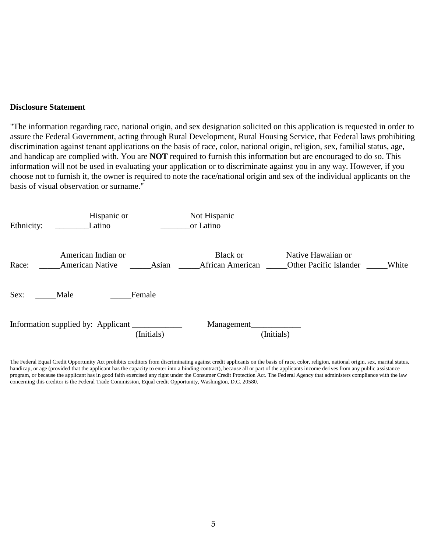#### **Disclosure Statement**

"The information regarding race, national origin, and sex designation solicited on this application is requested in order to assure the Federal Government, acting through Rural Development, Rural Housing Service, that Federal laws prohibiting discrimination against tenant applications on the basis of race, color, national origin, religion, sex, familial status, age, and handicap are complied with. You are **NOT** required to furnish this information but are encouraged to do so. This information will not be used in evaluating your application or to discriminate against you in any way. However, if you choose not to furnish it, the owner is required to note the race/national origin and sex of the individual applicants on the basis of visual observation or surname."



The Federal Equal Credit Opportunity Act prohibits creditors from discriminating against credit applicants on the basis of race, color, religion, national origin, sex, marital status, handicap, or age (provided that the applicant has the capacity to enter into a binding contract), because all or part of the applicants income derives from any public assistance program, or because the applicant has in good faith exercised any right under the Consumer Credit Protection Act. The Federal Agency that administers compliance with the law concerning this creditor is the Federal Trade Commission, Equal credit Opportunity, Washington, D.C. 20580.